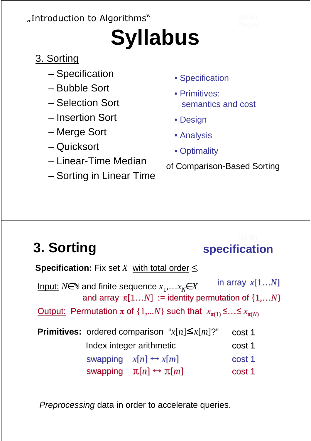### "Introduction to Algorithms"

# **Syllabus**

### 3. Sorting

- Specification
- Bubble Sort
- Selection Sort
- Insertion Sort
- Merge Sort
- Quicksort
- Linear-Time Median
- Sorting in Linear Time
- Specification
- Primitives: semantics and cost
- Design
- Analysis
- Optimality

of Comparison-Based Sorting

### **3. Sorting specification**

swapping  $x[n] \leftrightarrow x[m]$ <u>Cutput:</u> Permutation π of {1,...*N*} such that  $x_{π(1)}$ ≤…≤  $x_{π(N)}$ in array *x*[1…*N*] **Specification:** Fix set *X* with total order  $\leq$ .  $Input:$  *N*∈ $\mathbb N$  and finite sequence  $x_1, ... x_N \in X$ </u> **Primitives:** ordered comparison " $x[n] \leq x[m]$ ?" cost 1 cost 1 and array  $\pi[1...N] :=$  identity permutation of  $\{1,...N\}$ cost 1 swapping  $\pi[n] \leftrightarrow \pi[m]$ cost 1 Index integer arithmetic

Preprocessing data in order to accelerate queries.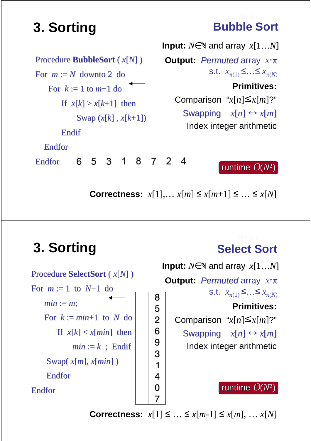| Procedure <b>BubbleSort</b> $(x[N])$ |   |   |                         |  |   |  |
|--------------------------------------|---|---|-------------------------|--|---|--|
| For $m := N$ downto 2 do             |   |   |                         |  |   |  |
| For $k := 1$ to $m-1$ do             |   |   |                         |  |   |  |
|                                      |   |   | If $x[k] > x[k+1]$ then |  |   |  |
| Swap $(x[k], x[k+1])$                |   |   |                         |  |   |  |
| Endif                                |   |   |                         |  |   |  |
| Endfor                               |   |   |                         |  |   |  |
| Endfor                               | 6 | 5 | 3.                      |  | 8 |  |

**3. Sorting Bubble Sort** 

**Primitives:** Comparison " $x[n] \leq x[m]$ ?" **Input:**  $N \in \mathbb{N}$  and array  $x[1...N]$ **Output:** Permuted array *x*◦π s.t.  $x_{\pi(1)}$  ≤…≤  $x_{\pi(N)}$ 

Swapping  $x[n] \leftrightarrow x[m]$ Index integer arithmetic

**Correctness:**  $x[1],...$   $x[m] \le x[m+1] \le ... \le x[N]$ 

4

2

### **3. Sorting Select Sort**

runtime O(*N*²)



**Correctness:**  $x[1] \leq ... \leq x[m-1] \leq x[m], ... x[N]$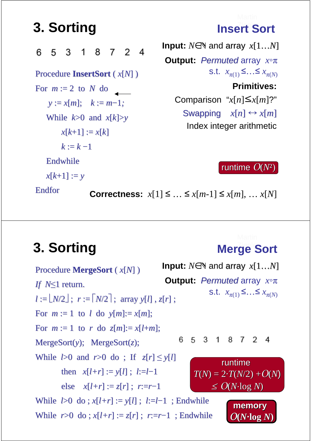## **3. Sorting**  Insert Sort

8 7 2 4 6 5 3 1 Procedure **InsertSort** ( *x*[*N*] ) For  $m := 2$  to  $N$  do *y* := *x*[*m*]; *k* := *m*−1*;* While  $k > 0$  and  $x[k] > y$  $x[k+1] := x[k]$  $k := k - 1$ Endwhile  $x[k+1] := y$ 

**Input:**  $N \in \mathbb{N}$  and array  $x[1...N]$ **Output:** Permuted array *x*◦π s.t.  $x_{π(1)}$ ≤…≤  $x_{π(N)}$ **Primitives:**

> Comparison " $x[n] \leq x[m]$ ?" Swapping  $x[n] \leftrightarrow x[m]$

Index integer arithmetic

runtime O(*N*²)

Endfor

**Correctness:**  $x[1] \leq ... \leq x[m-1] \leq x[m], ... x[N]$ 

### **3. Sorting Merge Sort**

**Input:**  $N \in \mathbb{N}$  and array  $x[1...N]$ Procedure **MergeSort** ( *x*[*N*] ) **Output:** Permuted array *x*◦π *If N*≤1 return. s.t.  $x_{π(1)}$  ≤…≤  $x_{π(N)}$  $l := \lfloor N/2 \rfloor$ ;  $r := \lceil N/2 \rceil$ ; array  $y[l]$ ,  $z[r]$ ; For  $m := 1$  to *l* do  $v[m] := x[m]$ ; For  $m := 1$  to  $r$  do  $z[m] := x[l+m]$ ; 6 5 3 1 8 7 2 4 MergeSort(*y*); MergeSort(*z*); While  $l>0$  and  $r>0$  do; If  $z[r] \leq y[l]$ runtime then  $x[l+r] := y[l]$ ;  $l:=l-1$  $T(N) = 2 \cdot T(N/2) + O(N)$ else  $x[l+r] := z[r]$ ;  $r:=r-1$  $\leq O(N \cdot \log N)$ While  $l>0$  do;  $x[l+r] := y[l]$ ;  $l:=l-1$ ; Endwhile **memory** While  $r>0$  do;  $x[l+r] := z[r]$ ;  $r:=r-1$ ; Endwhile  $O(N \cdot \log N)$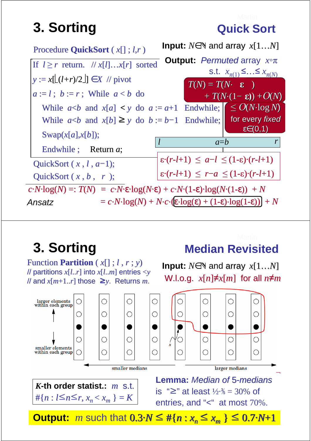## **3. Sorting Cauck Sort**



**3. Sorting**  Median Revisited

Function **Partition**  $(x[]$ ;  $l, r; y)$ // partitions *x*[*l*..*r*] into *x*[*l*..*m*] entries <*y* // and *x*[*m*+1..*r*] those ≥*y*. Returns *m*.



**Input:**  $N \in \mathbb{N}$  and array  $x[1...N]$ W.l.o.g.  $x[n]\neq x[m]$  for all  $n\neq m$ 



**Output:** *m* such that  $0.3\cdot N \leq #\{n : x_n \leq x_m\} \leq 0.7\cdot N+1$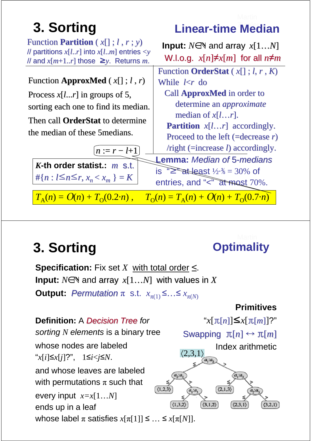## **3. Sorting Linear-time Median**

| Function <b>Partition</b> $(x[]; l, r; y)$<br>// partitions $x[lr]$ into $x[lm]$ entries $\lt y$<br>// and $x[m+1r]$ those $\geq y$ . Returns <i>m</i> . | <b>Input:</b> $N \in \mathbb{N}$ and array $x[1N]$<br>W.l.o.g. $x[n]\neq x[m]$ for all $n\neq m$                                                                                                                                                                                                      |  |  |  |
|----------------------------------------------------------------------------------------------------------------------------------------------------------|-------------------------------------------------------------------------------------------------------------------------------------------------------------------------------------------------------------------------------------------------------------------------------------------------------|--|--|--|
|                                                                                                                                                          | Function <b>OrderStat</b> $(x[]$ ; <i>l</i> , <i>r</i> , <i>K</i> )                                                                                                                                                                                                                                   |  |  |  |
| Function <b>ApproxMed</b> $(x[]$ ; $l, r)$                                                                                                               | While $k/r$ do                                                                                                                                                                                                                                                                                        |  |  |  |
| Process $x[lr]$ in groups of 5,                                                                                                                          | Call <b>ApproxMed</b> in order to                                                                                                                                                                                                                                                                     |  |  |  |
| sorting each one to find its median.                                                                                                                     | determine an <i>approximate</i><br>median of $x[lr]$ .<br><b>Partition</b> $x[lr]$ accordingly.<br>Proceed to the left (=decrease $r$ )<br>$\gamma$ /right (=increase <i>l</i> ) accordingly.<br><b>Lemma: Median of 5-medians</b><br>is $\sum_{n=1}^{\infty}$ at least $1/2.$ $\frac{1}{2}$ = 30% of |  |  |  |
|                                                                                                                                                          |                                                                                                                                                                                                                                                                                                       |  |  |  |
| Then call <b>OrderStat</b> to determine                                                                                                                  |                                                                                                                                                                                                                                                                                                       |  |  |  |
| the median of these 5 medians.                                                                                                                           |                                                                                                                                                                                                                                                                                                       |  |  |  |
| $[n := r - l + 1]$                                                                                                                                       |                                                                                                                                                                                                                                                                                                       |  |  |  |
|                                                                                                                                                          |                                                                                                                                                                                                                                                                                                       |  |  |  |
| K-th order statist.: $m$ s.t.                                                                                                                            |                                                                                                                                                                                                                                                                                                       |  |  |  |
| #{ $n: l \leq n \leq r, x_n < x_m$ } = K                                                                                                                 | entries, and "<" at most 70%.                                                                                                                                                                                                                                                                         |  |  |  |
| $T_{\Delta}(n) = O(n) + T_{\Omega}(0.2 \cdot n)$ ,                                                                                                       | $T_0(n) = T_A(n) + O(n) + T_0(0.7 \cdot n)$                                                                                                                                                                                                                                                           |  |  |  |

## **3. Sorting**  2. Sorting **2. Sorting**

Input:  $N \in \mathbb{N}$  and array  $x[1...N]$  with values in  $X$ **Output:** Permutation  $\pi$  s.t.  $x_{\pi(1)} \leq ... \leq x_{\pi(N)}$ **Specification:** Fix set  $X$  with total order  $\leq$ .

### **Definition:** A Decision Tree for sorting *N* elements is a binary tree whose nodes are labeled "*x*[*i*]≤*x*[*j*]?", 1≤*i*<*j*≤*N*. and whose leaves are labeled with permutations  $\pi$  such that  $(1,2,3)$ every input *x=x*[1…*N*] ends up in a leaf whose label  $\pi$  satisfies  $x[\pi[1]] \leq \ldots \leq x[\pi[N]]$ .

### **Primitives**

"*x*[π[*n*]]≤*x*[π[*m*]]?"

Index arithmetic

Swapping π[*n*] ↔ π[*m*]

 $(2,1,3)$ 

 $\langle 3,1,2 \rangle$ 

 $\langle 2,3,1\rangle$ 

 $(1,3,2)$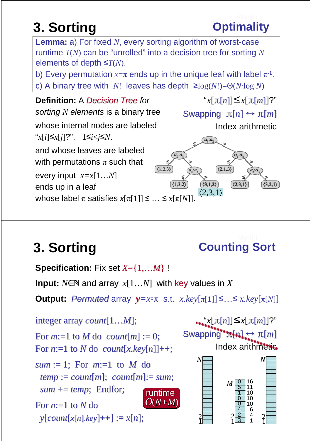

**3. Sorting**  2. Sorting

**Lemma:** a) For fixed *N*, every sorting algorithm of worst-case

## **3. Sorting**  Counting Sort

**Specification:** Fix set *X*={1,…*M*} !

**Input:**  $N \in \mathbb{N}$  and array  $x[1...N]$  with key values in X

**Output:** Permuted array  $y=x \circ \pi$  s.t.  $x.key[\pi[1]] \leq ... \leq x.key[\pi[N]]$ 

runtime O(*N+M*) integer array *count*[1…*M*]; For  $m:=1$  to  $M$  do  $count[m] := 0$ ; For  $n:=1$  to  $N$  do  $count[x, key[n]]++;$ *sum* := 1; For  $m:=1$  to *M* do *temp* := *count*[*m*]; *count*[*m*]:= *sum*; *sum* **+**= *temp*; Endfor; For  $n=1$  to  $N$  do  $\mathcal{Y}[count[x[n], key] + 1] := x[n];$ 

 $\leq x[\pi[n]] \leq x[\pi[m]]$ ?" Swapping π<sub>[n]</sub> ↔ π[*m*] Index arithmetic